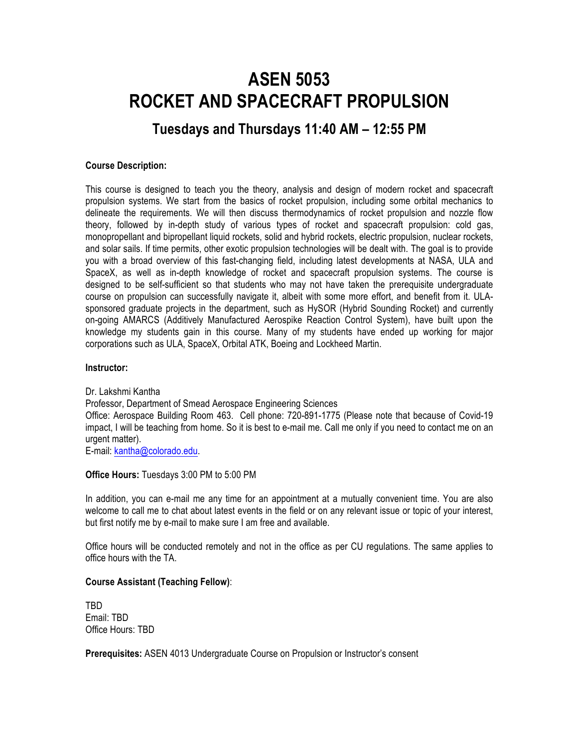# **ASEN 5053 ROCKET AND SPACECRAFT PROPULSION**

# **Tuesdays and Thursdays 11:40 AM – 12:55 PM**

# **Course Description:**

This course is designed to teach you the theory, analysis and design of modern rocket and spacecraft propulsion systems. We start from the basics of rocket propulsion, including some orbital mechanics to delineate the requirements. We will then discuss thermodynamics of rocket propulsion and nozzle flow theory, followed by in-depth study of various types of rocket and spacecraft propulsion: cold gas, monopropellant and bipropellant liquid rockets, solid and hybrid rockets, electric propulsion, nuclear rockets, and solar sails. If time permits, other exotic propulsion technologies will be dealt with. The goal is to provide you with a broad overview of this fast-changing field, including latest developments at NASA, ULA and SpaceX, as well as in-depth knowledge of rocket and spacecraft propulsion systems. The course is designed to be self-sufficient so that students who may not have taken the prerequisite undergraduate course on propulsion can successfully navigate it, albeit with some more effort, and benefit from it. ULAsponsored graduate projects in the department, such as HySOR (Hybrid Sounding Rocket) and currently on-going AMARCS (Additively Manufactured Aerospike Reaction Control System), have built upon the knowledge my students gain in this course. Many of my students have ended up working for major corporations such as ULA, SpaceX, Orbital ATK, Boeing and Lockheed Martin.

#### **Instructor:**

Dr. Lakshmi Kantha Professor, Department of Smead Aerospace Engineering Sciences Office: Aerospace Building Room 463. Cell phone: 720-891-1775 (Please note that because of Covid-19 impact, I will be teaching from home. So it is best to e-mail me. Call me only if you need to contact me on an urgent matter). E-mail: kantha@colorado.edu.

**Office Hours:** Tuesdays 3:00 PM to 5:00 PM

In addition, you can e-mail me any time for an appointment at a mutually convenient time. You are also welcome to call me to chat about latest events in the field or on any relevant issue or topic of your interest, but first notify me by e-mail to make sure I am free and available.

Office hours will be conducted remotely and not in the office as per CU regulations. The same applies to office hours with the TA.

# **Course Assistant (Teaching Fellow)**:

TBD Email: TBD Office Hours: TBD

**Prerequisites:** ASEN 4013 Undergraduate Course on Propulsion or Instructor's consent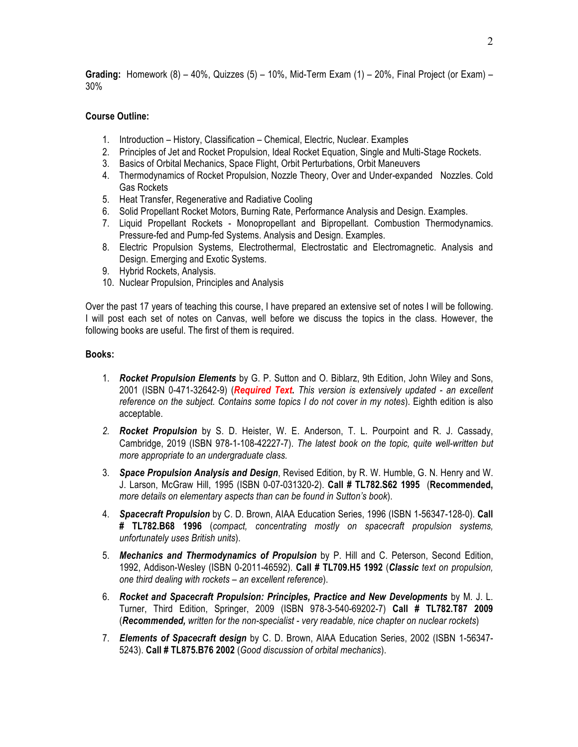**Grading:** Homework (8) – 40%, Quizzes (5) – 10%, Mid-Term Exam (1) – 20%, Final Project (or Exam) – 30%

# **Course Outline:**

- 1. Introduction History, Classification Chemical, Electric, Nuclear. Examples
- 2. Principles of Jet and Rocket Propulsion, Ideal Rocket Equation, Single and Multi-Stage Rockets.
- 3. Basics of Orbital Mechanics, Space Flight, Orbit Perturbations, Orbit Maneuvers
- 4. Thermodynamics of Rocket Propulsion, Nozzle Theory, Over and Under-expanded Nozzles. Cold Gas Rockets
- 5. Heat Transfer, Regenerative and Radiative Cooling
- 6. Solid Propellant Rocket Motors, Burning Rate, Performance Analysis and Design. Examples.
- 7. Liquid Propellant Rockets Monopropellant and Bipropellant. Combustion Thermodynamics. Pressure-fed and Pump-fed Systems. Analysis and Design. Examples.
- 8. Electric Propulsion Systems, Electrothermal, Electrostatic and Electromagnetic. Analysis and Design. Emerging and Exotic Systems.
- 9. Hybrid Rockets, Analysis.
- 10. Nuclear Propulsion, Principles and Analysis

Over the past 17 years of teaching this course, I have prepared an extensive set of notes I will be following. I will post each set of notes on Canvas, well before we discuss the topics in the class. However, the following books are useful. The first of them is required.

# **Books:**

- 1. *Rocket Propulsion Elements* by G. P. Sutton and O. Biblarz, 9th Edition, John Wiley and Sons, 2001 (ISBN 0-471-32642-9) (*Required Text***.** *This version is extensively updated - an excellent reference on the subject. Contains some topics I do not cover in my notes*). Eighth edition is also acceptable.
- *2. Rocket Propulsion* by S. D. Heister, W. E. Anderson, T. L. Pourpoint and R. J. Cassady, Cambridge, 2019 (ISBN 978-1-108-42227-7). *The latest book on the topic, quite well-written but more appropriate to an undergraduate class.*
- 3. *Space Propulsion Analysis and Design*, Revised Edition, by R. W. Humble, G. N. Henry and W. J. Larson, McGraw Hill, 1995 (ISBN 0-07-031320-2). **Call # TL782.S62 1995** (**Recommended,** *more details on elementary aspects than can be found in Sutton's book*).
- 4. *Spacecraft Propulsion* by C. D. Brown, AIAA Education Series, 1996 (ISBN 1-56347-128-0). **Call # TL782.B68 1996** (*compact, concentrating mostly on spacecraft propulsion systems, unfortunately uses British units*).
- 5. *Mechanics and Thermodynamics of Propulsion* by P. Hill and C. Peterson, Second Edition, 1992, Addison-Wesley (ISBN 0-2011-46592). **Call # TL709.H5 1992** (*Classic text on propulsion, one third dealing with rockets – an excellent reference*).
- 6. *Rocket and Spacecraft Propulsion: Principles, Practice and New Developments* by M. J. L. Turner, Third Edition, Springer, 2009 (ISBN 978-3-540-69202-7) **Call # TL782.T87 2009** (*Recommended, written for the non-specialist - very readable, nice chapter on nuclear rockets*)
- 7. *Elements of Spacecraft design* by C. D. Brown, AIAA Education Series, 2002 (ISBN 1-56347- 5243). **Call # TL875.B76 2002** (*Good discussion of orbital mechanics*).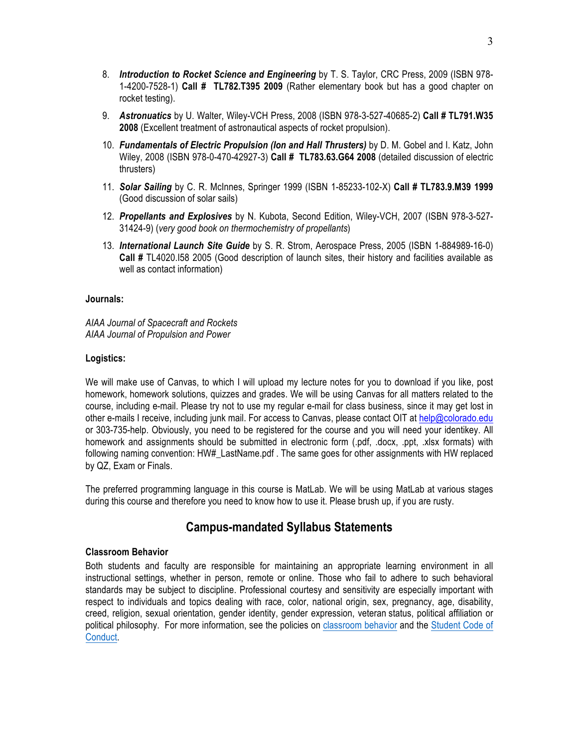- 8. *Introduction to Rocket Science and Engineering* by T. S. Taylor, CRC Press, 2009 (ISBN 978- 1-4200-7528-1) **Call # TL782.T395 2009** (Rather elementary book but has a good chapter on rocket testing).
- 9. *Astronuatics* by U. Walter, Wiley-VCH Press, 2008 (ISBN 978-3-527-40685-2) **Call # TL791.W35 2008** (Excellent treatment of astronautical aspects of rocket propulsion).
- 10. *Fundamentals of Electric Propulsion (Ion and Hall Thrusters)* by D. M. Gobel and I. Katz, John Wiley, 2008 (ISBN 978-0-470-42927-3) **Call # TL783.63.G64 2008** (detailed discussion of electric thrusters)
- 11. *Solar Sailing* by C. R. McInnes, Springer 1999 (ISBN 1-85233-102-X) **Call # TL783.9.M39 1999**  (Good discussion of solar sails)
- 12. *Propellants and Explosives* by N. Kubota, Second Edition, Wiley-VCH, 2007 (ISBN 978-3-527- 31424-9) (*very good book on thermochemistry of propellants*)
- 13. *International Launch Site Guide* by S. R. Strom, Aerospace Press, 2005 (ISBN 1-884989-16-0) **Call #** TL4020.I58 2005 (Good description of launch sites, their history and facilities available as well as contact information)

#### **Journals:**

*AIAA Journal of Spacecraft and Rockets AIAA Journal of Propulsion and Power*

#### **Logistics:**

We will make use of Canvas, to which I will upload my lecture notes for you to download if you like, post homework, homework solutions, quizzes and grades. We will be using Canvas for all matters related to the course, including e-mail. Please try not to use my regular e-mail for class business, since it may get lost in other e-mails I receive, including junk mail. For access to Canvas, please contact OIT at help@colorado.edu or 303-735-help. Obviously, you need to be registered for the course and you will need your identikey. All homework and assignments should be submitted in electronic form (.pdf, .docx, .ppt, .xlsx formats) with following naming convention: HW# LastName.pdf. The same goes for other assignments with HW replaced by QZ, Exam or Finals.

The preferred programming language in this course is MatLab. We will be using MatLab at various stages during this course and therefore you need to know how to use it. Please brush up, if you are rusty.

# **Campus-mandated Syllabus Statements**

# **Classroom Behavior**

Both students and faculty are responsible for maintaining an appropriate learning environment in all instructional settings, whether in person, remote or online. Those who fail to adhere to such behavioral standards may be subject to discipline. Professional courtesy and sensitivity are especially important with respect to individuals and topics dealing with race, color, national origin, sex, pregnancy, age, disability, creed, religion, sexual orientation, gender identity, gender expression, veteran status, political affiliation or political philosophy. For more information, see the policies on classroom behavior and the Student Code of Conduct.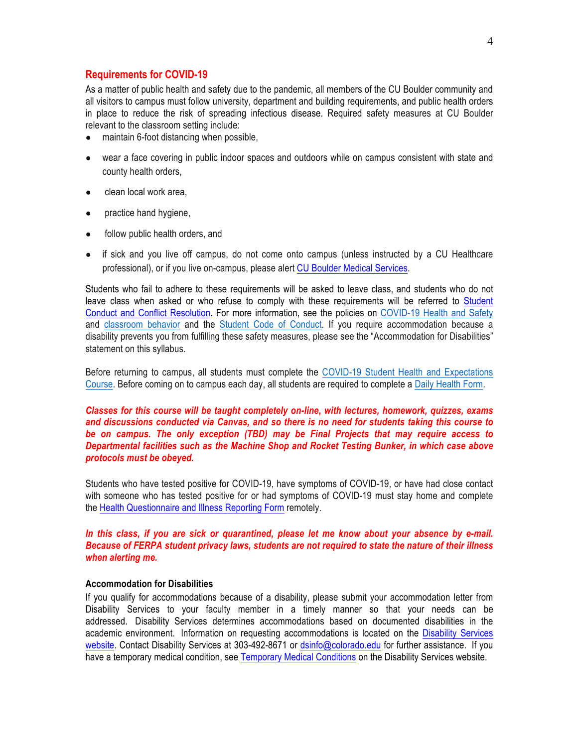#### **Requirements for COVID-19**

As a matter of public health and safety due to the pandemic, all members of the CU Boulder community and all visitors to campus must follow university, department and building requirements, and public health orders in place to reduce the risk of spreading infectious disease. Required safety measures at CU Boulder relevant to the classroom setting include:

- maintain 6-foot distancing when possible,
- wear a face covering in public indoor spaces and outdoors while on campus consistent with state and county health orders,
- clean local work area,
- practice hand hygiene,
- follow public health orders, and
- if sick and you live off campus, do not come onto campus (unless instructed by a CU Healthcare professional), or if you live on-campus, please alert CU Boulder Medical Services.

Students who fail to adhere to these requirements will be asked to leave class, and students who do not leave class when asked or who refuse to comply with these requirements will be referred to Student Conduct and Conflict Resolution. For more information, see the policies on COVID-19 Health and Safety and classroom behavior and the Student Code of Conduct. If you require accommodation because a disability prevents you from fulfilling these safety measures, please see the "Accommodation for Disabilities" statement on this syllabus.

Before returning to campus, all students must complete the COVID-19 Student Health and Expectations Course. Before coming on to campus each day, all students are required to complete a Daily Health Form.

# *Classes for this course will be taught completely on-line, with lectures, homework, quizzes, exams and discussions conducted via Canvas, and so there is no need for students taking this course to be on campus. The only exception (TBD) may be Final Projects that may require access to Departmental facilities such as the Machine Shop and Rocket Testing Bunker, in which case above protocols must be obeyed.*

Students who have tested positive for COVID-19, have symptoms of COVID-19, or have had close contact with someone who has tested positive for or had symptoms of COVID-19 must stay home and complete the Health Questionnaire and Illness Reporting Form remotely.

# *In this class, if you are sick or quarantined, please let me know about your absence by e-mail. Because of FERPA student privacy laws, students are not required to state the nature of their illness when alerting me.*

#### **Accommodation for Disabilities**

If you qualify for accommodations because of a disability, please submit your accommodation letter from Disability Services to your faculty member in a timely manner so that your needs can be addressed. Disability Services determines accommodations based on documented disabilities in the academic environment. Information on requesting accommodations is located on the Disability Services website. Contact Disability Services at 303-492-8671 or dsinfo@colorado.edu for further assistance. If you have a temporary medical condition, see Temporary Medical Conditions on the Disability Services website.